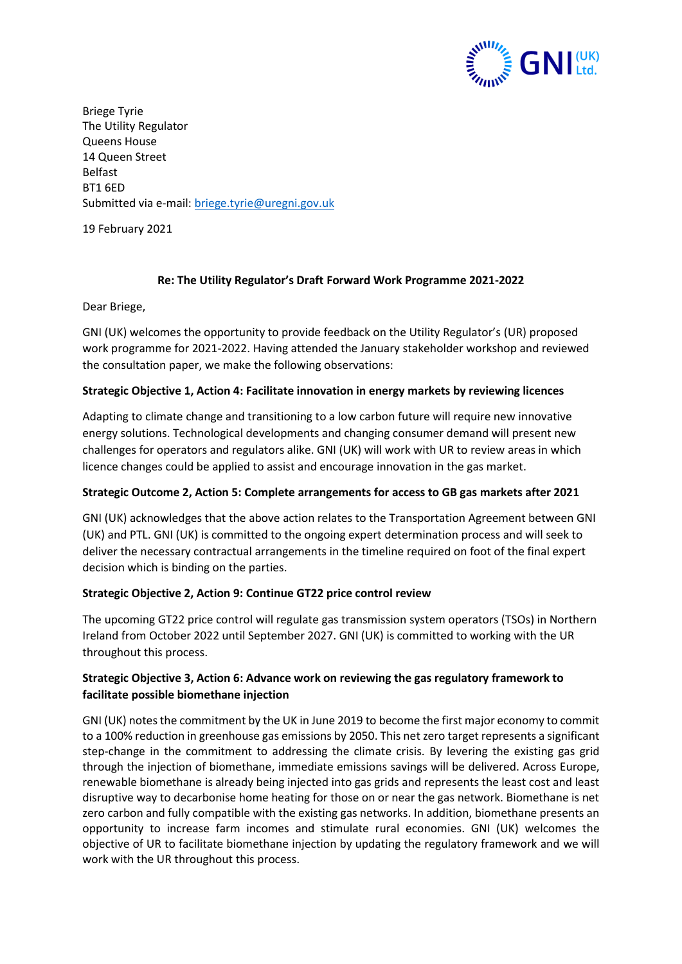

Briege Tyrie The Utility Regulator Queens House 14 Queen Street Belfast BT1 6ED Submitted via e-mail[: briege.tyrie@uregni.gov.uk](mailto:briege.tyrie@uregni.gov.uk)

19 February 2021

### **Re: The Utility Regulator's Draft Forward Work Programme 2021-2022**

Dear Briege,

GNI (UK) welcomes the opportunity to provide feedback on the Utility Regulator's (UR) proposed work programme for 2021-2022. Having attended the January stakeholder workshop and reviewed the consultation paper, we make the following observations:

### **Strategic Objective 1, Action 4: Facilitate innovation in energy markets by reviewing licences**

Adapting to climate change and transitioning to a low carbon future will require new innovative energy solutions. Technological developments and changing consumer demand will present new challenges for operators and regulators alike. GNI (UK) will work with UR to review areas in which licence changes could be applied to assist and encourage innovation in the gas market.

## **Strategic Outcome 2, Action 5: Complete arrangements for access to GB gas markets after 2021**

GNI (UK) acknowledges that the above action relates to the Transportation Agreement between GNI (UK) and PTL. GNI (UK) is committed to the ongoing expert determination process and will seek to deliver the necessary contractual arrangements in the timeline required on foot of the final expert decision which is binding on the parties.

## **Strategic Objective 2, Action 9: Continue GT22 price control review**

The upcoming GT22 price control will regulate gas transmission system operators (TSOs) in Northern Ireland from October 2022 until September 2027. GNI (UK) is committed to working with the UR throughout this process.

# **Strategic Objective 3, Action 6: Advance work on reviewing the gas regulatory framework to facilitate possible biomethane injection**

GNI (UK) notesthe commitment by the UK in June 2019 to become the first major economy to commit to a 100% reduction in greenhouse gas emissions by 2050. This net zero target represents a significant step-change in the commitment to addressing the climate crisis. By levering the existing gas grid through the injection of biomethane, immediate emissions savings will be delivered. Across Europe, renewable biomethane is already being injected into gas grids and represents the least cost and least disruptive way to decarbonise home heating for those on or near the gas network. Biomethane is net zero carbon and fully compatible with the existing gas networks. In addition, biomethane presents an opportunity to increase farm incomes and stimulate rural economies. GNI (UK) welcomes the objective of UR to facilitate biomethane injection by updating the regulatory framework and we will work with the UR throughout this process.